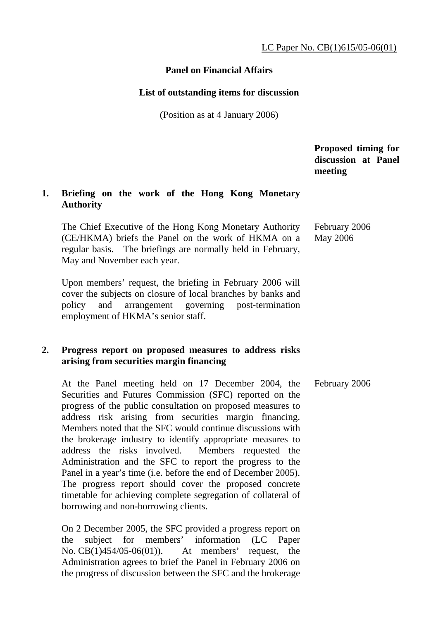# **Panel on Financial Affairs**

### **List of outstanding items for discussion**

(Position as at 4 January 2006)

 **Proposed timing for discussion at Panel meeting** 

# **1. Briefing on the work of the Hong Kong Monetary Authority**

 The Chief Executive of the Hong Kong Monetary Authority (CE/HKMA) briefs the Panel on the work of HKMA on a regular basis. The briefings are normally held in February, May and November each year. February 2006 May 2006

 Upon members' request, the briefing in February 2006 will cover the subjects on closure of local branches by banks and policy and arrangement governing post-termination employment of HKMA's senior staff.

# **2. Progress report on proposed measures to address risks arising from securities margin financing**

 At the Panel meeting held on 17 December 2004, the Securities and Futures Commission (SFC) reported on the progress of the public consultation on proposed measures to address risk arising from securities margin financing. Members noted that the SFC would continue discussions with the brokerage industry to identify appropriate measures to address the risks involved. Members requested the Administration and the SFC to report the progress to the Panel in a year's time (i.e. before the end of December 2005). The progress report should cover the proposed concrete timetable for achieving complete segregation of collateral of borrowing and non-borrowing clients. February 2006

 On 2 December 2005, the SFC provided a progress report on the subject for members' information (LC Paper No. CB(1)454/05-06(01)). At members' request, the Administration agrees to brief the Panel in February 2006 on the progress of discussion between the SFC and the brokerage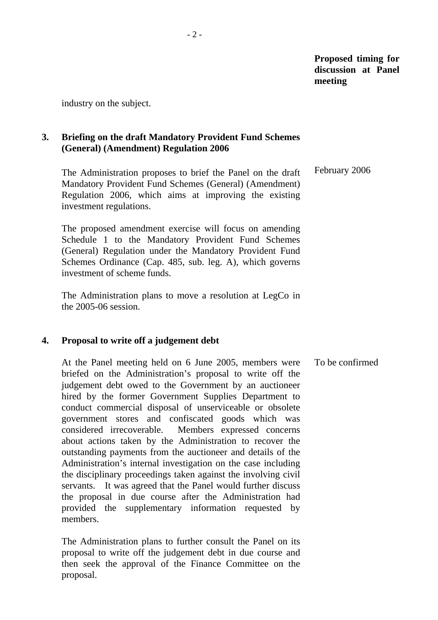industry on the subject.

# **3. Briefing on the draft Mandatory Provident Fund Schemes (General) (Amendment) Regulation 2006**

 The Administration proposes to brief the Panel on the draft Mandatory Provident Fund Schemes (General) (Amendment) Regulation 2006, which aims at improving the existing investment regulations. February 2006

 The proposed amendment exercise will focus on amending Schedule 1 to the Mandatory Provident Fund Schemes (General) Regulation under the Mandatory Provident Fund Schemes Ordinance (Cap. 485, sub. leg. A), which governs investment of scheme funds.

 The Administration plans to move a resolution at LegCo in the 2005-06 session.

### **4. Proposal to write off a judgement debt**

 At the Panel meeting held on 6 June 2005, members were briefed on the Administration's proposal to write off the judgement debt owed to the Government by an auctioneer hired by the former Government Supplies Department to conduct commercial disposal of unserviceable or obsolete government stores and confiscated goods which was considered irrecoverable. Members expressed concerns about actions taken by the Administration to recover the outstanding payments from the auctioneer and details of the Administration's internal investigation on the case including the disciplinary proceedings taken against the involving civil servants. It was agreed that the Panel would further discuss the proposal in due course after the Administration had provided the supplementary information requested by members. To be confirmed

 The Administration plans to further consult the Panel on its proposal to write off the judgement debt in due course and then seek the approval of the Finance Committee on the proposal.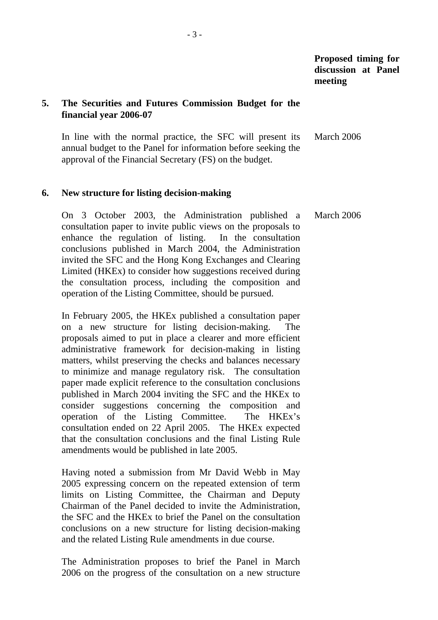# **5. The Securities and Futures Commission Budget for the financial year 2006-07**

 In line with the normal practice, the SFC will present its annual budget to the Panel for information before seeking the approval of the Financial Secretary (FS) on the budget. March 2006

#### **6. New structure for listing decision-making**

 On 3 October 2003, the Administration published a consultation paper to invite public views on the proposals to enhance the regulation of listing. In the consultation conclusions published in March 2004, the Administration invited the SFC and the Hong Kong Exchanges and Clearing Limited (HKEx) to consider how suggestions received during the consultation process, including the composition and operation of the Listing Committee, should be pursued. March 2006

 In February 2005, the HKEx published a consultation paper on a new structure for listing decision-making. The proposals aimed to put in place a clearer and more efficient administrative framework for decision-making in listing matters, whilst preserving the checks and balances necessary to minimize and manage regulatory risk. The consultation paper made explicit reference to the consultation conclusions published in March 2004 inviting the SFC and the HKEx to consider suggestions concerning the composition and operation of the Listing Committee. The HKEx's consultation ended on 22 April 2005. The HKEx expected that the consultation conclusions and the final Listing Rule amendments would be published in late 2005.

 Having noted a submission from Mr David Webb in May 2005 expressing concern on the repeated extension of term limits on Listing Committee, the Chairman and Deputy Chairman of the Panel decided to invite the Administration, the SFC and the HKEx to brief the Panel on the consultation conclusions on a new structure for listing decision-making and the related Listing Rule amendments in due course.

 The Administration proposes to brief the Panel in March 2006 on the progress of the consultation on a new structure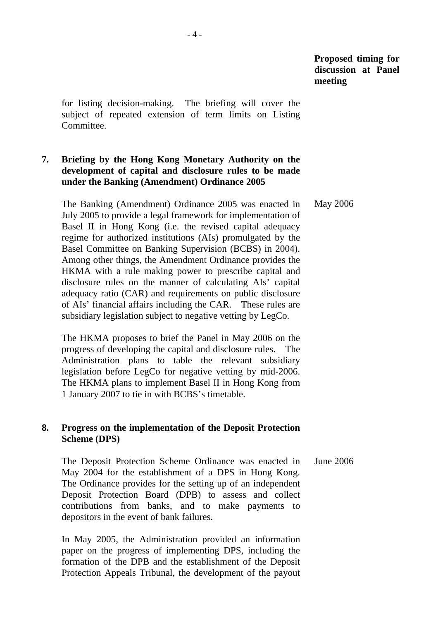for listing decision-making. The briefing will cover the subject of repeated extension of term limits on Listing Committee.

# **7. Briefing by the Hong Kong Monetary Authority on the development of capital and disclosure rules to be made under the Banking (Amendment) Ordinance 2005**

 The Banking (Amendment) Ordinance 2005 was enacted in July 2005 to provide a legal framework for implementation of Basel II in Hong Kong (i.e. the revised capital adequacy regime for authorized institutions (AIs) promulgated by the Basel Committee on Banking Supervision (BCBS) in 2004). Among other things, the Amendment Ordinance provides the HKMA with a rule making power to prescribe capital and disclosure rules on the manner of calculating AIs' capital adequacy ratio (CAR) and requirements on public disclosure of AIs' financial affairs including the CAR. These rules are subsidiary legislation subject to negative vetting by LegCo. May 2006

 The HKMA proposes to brief the Panel in May 2006 on the progress of developing the capital and disclosure rules. The Administration plans to table the relevant subsidiary legislation before LegCo for negative vetting by mid-2006. The HKMA plans to implement Basel II in Hong Kong from 1 January 2007 to tie in with BCBS's timetable.

# **8. Progress on the implementation of the Deposit Protection Scheme (DPS)**

 The Deposit Protection Scheme Ordinance was enacted in May 2004 for the establishment of a DPS in Hong Kong. The Ordinance provides for the setting up of an independent Deposit Protection Board (DPB) to assess and collect contributions from banks, and to make payments to depositors in the event of bank failures. June 2006

 In May 2005, the Administration provided an information paper on the progress of implementing DPS, including the formation of the DPB and the establishment of the Deposit Protection Appeals Tribunal, the development of the payout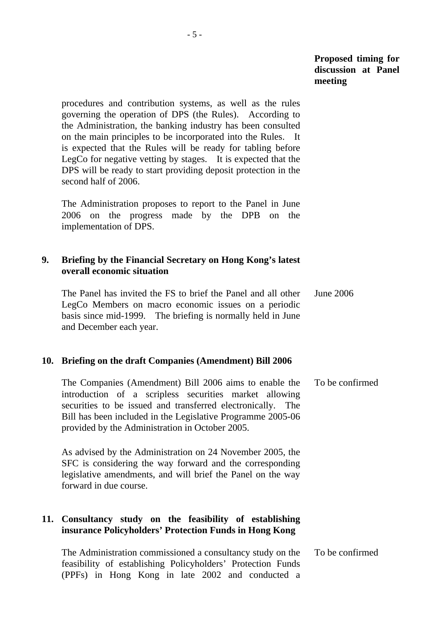procedures and contribution systems, as well as the rules governing the operation of DPS (the Rules). According to the Administration, the banking industry has been consulted on the main principles to be incorporated into the Rules. It is expected that the Rules will be ready for tabling before LegCo for negative vetting by stages. It is expected that the DPS will be ready to start providing deposit protection in the second half of 2006.

 The Administration proposes to report to the Panel in June 2006 on the progress made by the DPB on the implementation of DPS.

## **9. Briefing by the Financial Secretary on Hong Kong's latest overall economic situation**

 The Panel has invited the FS to brief the Panel and all other LegCo Members on macro economic issues on a periodic basis since mid-1999. The briefing is normally held in June and December each year. June 2006

#### **10. Briefing on the draft Companies (Amendment) Bill 2006**

 The Companies (Amendment) Bill 2006 aims to enable the introduction of a scripless securities market allowing securities to be issued and transferred electronically. The Bill has been included in the Legislative Programme 2005-06 provided by the Administration in October 2005. To be confirmed

 As advised by the Administration on 24 November 2005, the SFC is considering the way forward and the corresponding legislative amendments, and will brief the Panel on the way forward in due course.

# **11. Consultancy study on the feasibility of establishing insurance Policyholders' Protection Funds in Hong Kong**

| The Administration commissioned a consultancy study on the To be confirmed |  |
|----------------------------------------------------------------------------|--|
| feasibility of establishing Policyholders' Protection Funds                |  |
| (PPFs) in Hong Kong in late 2002 and conducted a                           |  |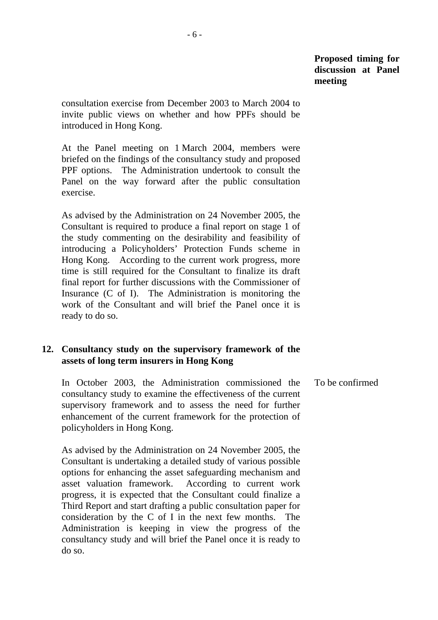consultation exercise from December 2003 to March 2004 to invite public views on whether and how PPFs should be introduced in Hong Kong.

 At the Panel meeting on 1 March 2004, members were briefed on the findings of the consultancy study and proposed PPF options. The Administration undertook to consult the Panel on the way forward after the public consultation exercise.

 As advised by the Administration on 24 November 2005, the Consultant is required to produce a final report on stage 1 of the study commenting on the desirability and feasibility of introducing a Policyholders' Protection Funds scheme in Hong Kong. According to the current work progress, more time is still required for the Consultant to finalize its draft final report for further discussions with the Commissioner of Insurance (C of I). The Administration is monitoring the work of the Consultant and will brief the Panel once it is ready to do so.

# **12. Consultancy study on the supervisory framework of the assets of long term insurers in Hong Kong**

 In October 2003, the Administration commissioned the consultancy study to examine the effectiveness of the current supervisory framework and to assess the need for further enhancement of the current framework for the protection of policyholders in Hong Kong. To be confirmed

 As advised by the Administration on 24 November 2005, the Consultant is undertaking a detailed study of various possible options for enhancing the asset safeguarding mechanism and asset valuation framework. According to current work progress, it is expected that the Consultant could finalize a Third Report and start drafting a public consultation paper for consideration by the C of I in the next few months. The Administration is keeping in view the progress of the consultancy study and will brief the Panel once it is ready to do so.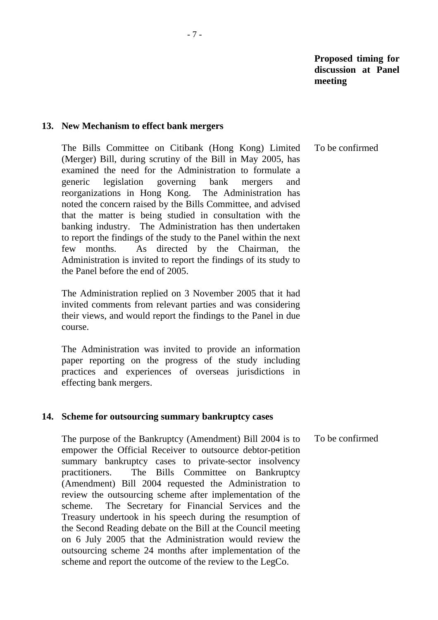#### **13. New Mechanism to effect bank mergers**

 The Bills Committee on Citibank (Hong Kong) Limited (Merger) Bill, during scrutiny of the Bill in May 2005, has examined the need for the Administration to formulate a generic legislation governing bank mergers and reorganizations in Hong Kong. The Administration has noted the concern raised by the Bills Committee, and advised that the matter is being studied in consultation with the banking industry. The Administration has then undertaken to report the findings of the study to the Panel within the next few months. As directed by the Chairman, the Administration is invited to report the findings of its study to the Panel before the end of 2005. To be confirmed

 The Administration replied on 3 November 2005 that it had invited comments from relevant parties and was considering their views, and would report the findings to the Panel in due course.

 The Administration was invited to provide an information paper reporting on the progress of the study including practices and experiences of overseas jurisdictions in effecting bank mergers.

#### **14. Scheme for outsourcing summary bankruptcy cases**

 The purpose of the Bankruptcy (Amendment) Bill 2004 is to empower the Official Receiver to outsource debtor-petition summary bankruptcy cases to private-sector insolvency practitioners. The Bills Committee on Bankruptcy (Amendment) Bill 2004 requested the Administration to review the outsourcing scheme after implementation of the scheme. The Secretary for Financial Services and the Treasury undertook in his speech during the resumption of the Second Reading debate on the Bill at the Council meeting on 6 July 2005 that the Administration would review the outsourcing scheme 24 months after implementation of the scheme and report the outcome of the review to the LegCo. To be confirmed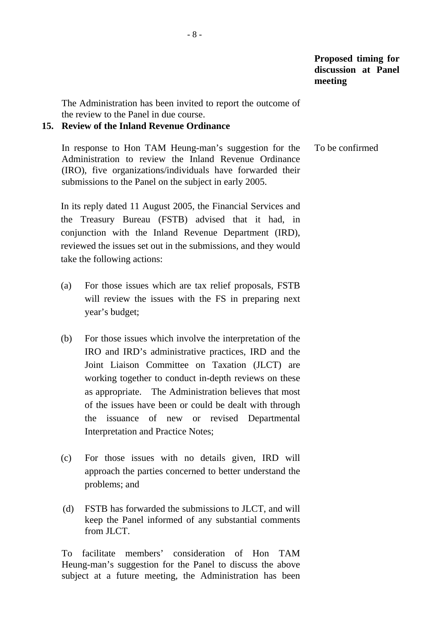The Administration has been invited to report the outcome of the review to the Panel in due course.

### **15. Review of the Inland Revenue Ordinance**

 In response to Hon TAM Heung-man's suggestion for the Administration to review the Inland Revenue Ordinance (IRO), five organizations/individuals have forwarded their submissions to the Panel on the subject in early 2005. To be confirmed

 In its reply dated 11 August 2005, the Financial Services and the Treasury Bureau (FSTB) advised that it had, in conjunction with the Inland Revenue Department (IRD), reviewed the issues set out in the submissions, and they would take the following actions:

- (a) For those issues which are tax relief proposals, FSTB will review the issues with the FS in preparing next year's budget;
- (b) For those issues which involve the interpretation of the IRO and IRD's administrative practices, IRD and the Joint Liaison Committee on Taxation (JLCT) are working together to conduct in-depth reviews on these as appropriate. The Administration believes that most of the issues have been or could be dealt with through the issuance of new or revised Departmental Interpretation and Practice Notes;
- (c) For those issues with no details given, IRD will approach the parties concerned to better understand the problems; and
- (d) FSTB has forwarded the submissions to JLCT, and will keep the Panel informed of any substantial comments from **JLCT**.

 To facilitate members' consideration of Hon TAM Heung-man's suggestion for the Panel to discuss the above subject at a future meeting, the Administration has been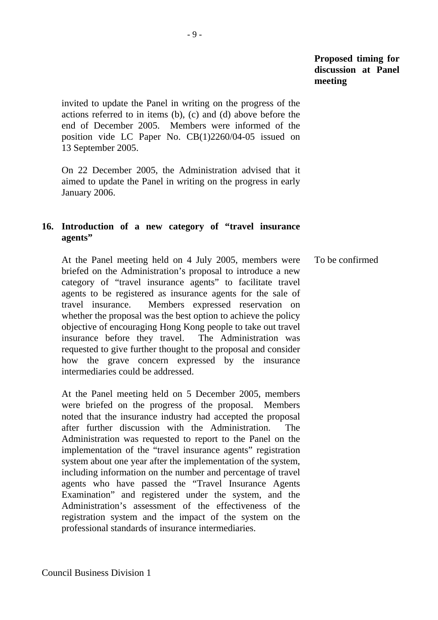invited to update the Panel in writing on the progress of the actions referred to in items (b), (c) and (d) above before the end of December 2005. Members were informed of the position vide LC Paper No. CB(1)2260/04-05 issued on 13 September 2005.

 On 22 December 2005, the Administration advised that it aimed to update the Panel in writing on the progress in early January 2006.

# **16. Introduction of a new category of "travel insurance agents"**

 At the Panel meeting held on 4 July 2005, members were briefed on the Administration's proposal to introduce a new category of "travel insurance agents" to facilitate travel agents to be registered as insurance agents for the sale of travel insurance. Members expressed reservation on whether the proposal was the best option to achieve the policy objective of encouraging Hong Kong people to take out travel insurance before they travel. The Administration was requested to give further thought to the proposal and consider how the grave concern expressed by the insurance intermediaries could be addressed. To be confirmed

 At the Panel meeting held on 5 December 2005, members were briefed on the progress of the proposal. Members noted that the insurance industry had accepted the proposal after further discussion with the Administration. The Administration was requested to report to the Panel on the implementation of the "travel insurance agents" registration system about one year after the implementation of the system, including information on the number and percentage of travel agents who have passed the "Travel Insurance Agents Examination" and registered under the system, and the Administration's assessment of the effectiveness of the registration system and the impact of the system on the professional standards of insurance intermediaries.